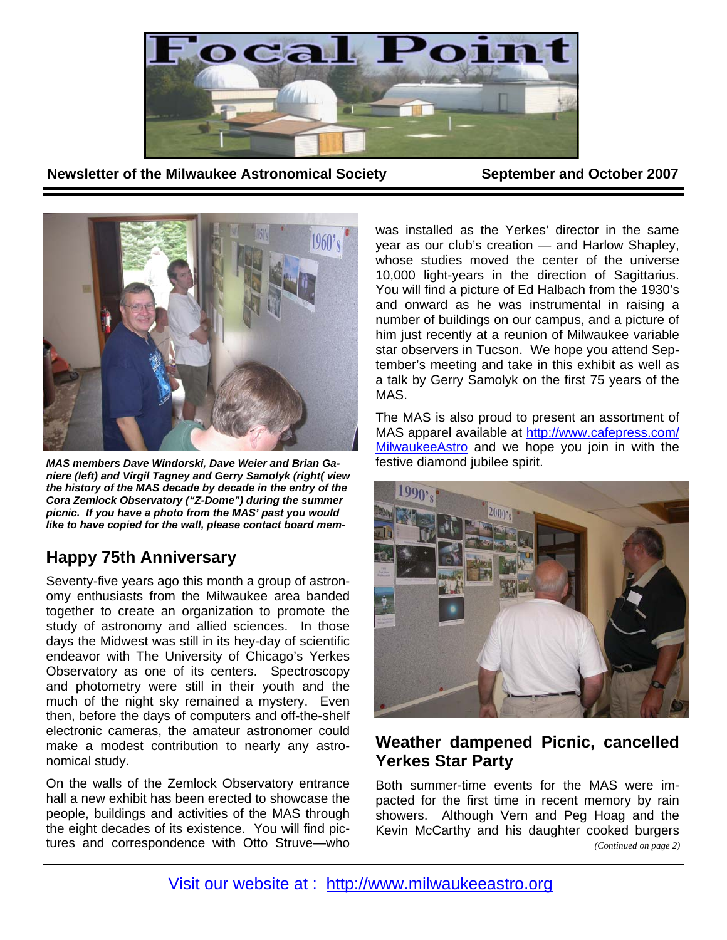

**Newsletter of the Milwaukee Astronomical Society September and October 2007** 



*MAS members Dave Windorski, Dave Weier and Brian Ganiere (left) and Virgil Tagney and Gerry Samolyk (right( view the history of the MAS decade by decade in the entry of the Cora Zemlock Observatory ("Z-Dome") during the summer picnic. If you have a photo from the MAS' past you would like to have copied for the wall, please contact board mem-*

# **Happy 75th Anniversary**

Seventy-five years ago this month a group of astronomy enthusiasts from the Milwaukee area banded together to create an organization to promote the study of astronomy and allied sciences. In those days the Midwest was still in its hey-day of scientific endeavor with The University of Chicago's Yerkes Observatory as one of its centers. Spectroscopy and photometry were still in their youth and the much of the night sky remained a mystery. Even then, before the days of computers and off-the-shelf electronic cameras, the amateur astronomer could make a modest contribution to nearly any astronomical study.

On the walls of the Zemlock Observatory entrance hall a new exhibit has been erected to showcase the people, buildings and activities of the MAS through the eight decades of its existence. You will find pictures and correspondence with Otto Struve—who

was installed as the Yerkes' director in the same year as our club's creation — and Harlow Shapley, whose studies moved the center of the universe 10,000 light-years in the direction of Sagittarius. You will find a picture of Ed Halbach from the 1930's and onward as he was instrumental in raising a number of buildings on our campus, and a picture of him just recently at a reunion of Milwaukee variable star observers in Tucson. We hope you attend September's meeting and take in this exhibit as well as a talk by Gerry Samolyk on the first 75 years of the MAS.

The MAS is also proud to present an assortment of MAS apparel available at http://www.cafepress.com/ MilwaukeeAstro and we hope you join in with the festive diamond jubilee spirit.



# **Weather dampened Picnic, cancelled Yerkes Star Party**

Both summer-time events for the MAS were impacted for the first time in recent memory by rain showers. Although Vern and Peg Hoag and the Kevin McCarthy and his daughter cooked burgers *(Continued on page 2)*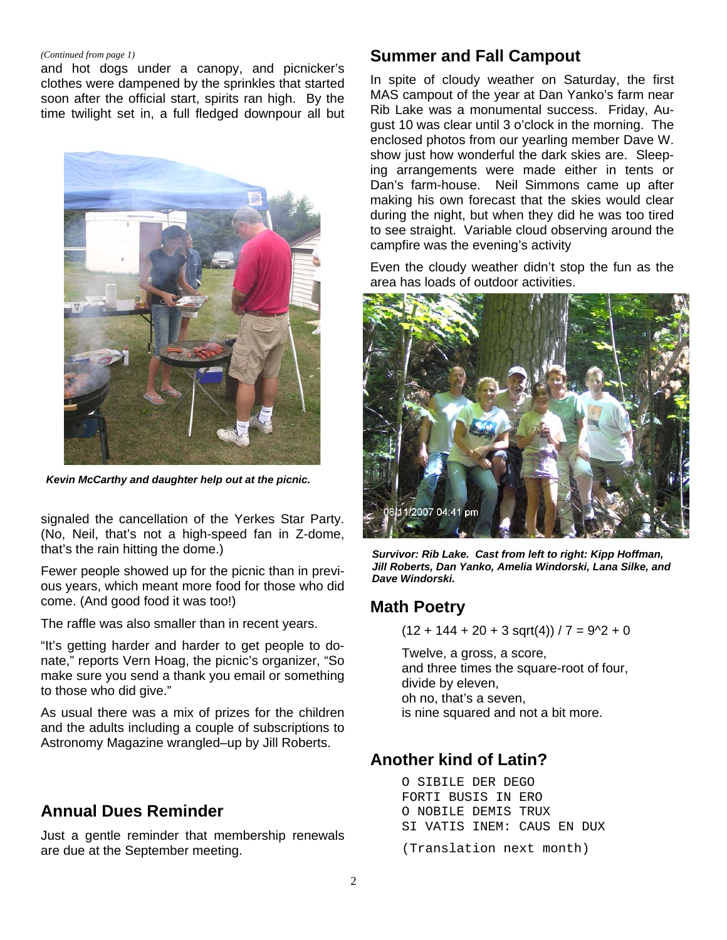#### *(Continued from page 1)*

and hot dogs under a canopy, and picnicker's clothes were dampened by the sprinkles that started soon after the official start, spirits ran high. By the time twilight set in, a full fledged downpour all but



*Kevin McCarthy and daughter help out at the picnic.* 

signaled the cancellation of the Yerkes Star Party. (No, Neil, that's not a high-speed fan in Z-dome, that's the rain hitting the dome.)

Fewer people showed up for the picnic than in previous years, which meant more food for those who did come. (And good food it was too!)

The raffle was also smaller than in recent years.

"It's getting harder and harder to get people to donate," reports Vern Hoag, the picnic's organizer, "So make sure you send a thank you email or something to those who did give."

As usual there was a mix of prizes for the children and the adults including a couple of subscriptions to Astronomy Magazine wrangled–up by Jill Roberts.

# **Annual Dues Reminder**

Just a gentle reminder that membership renewals are due at the September meeting.

## **Summer and Fall Campout**

In spite of cloudy weather on Saturday, the first MAS campout of the year at Dan Yanko's farm near Rib Lake was a monumental success. Friday, August 10 was clear until 3 o'clock in the morning. The enclosed photos from our yearling member Dave W. show just how wonderful the dark skies are. Sleeping arrangements were made either in tents or Dan's farm-house. Neil Simmons came up after making his own forecast that the skies would clear during the night, but when they did he was too tired to see straight. Variable cloud observing around the campfire was the evening's activity

Even the cloudy weather didn't stop the fun as the area has loads of outdoor activities.



*Survivor: Rib Lake. Cast from left to right: Kipp Hoffman, Jill Roberts, Dan Yanko, Amelia Windorski, Lana Silke, and Dave Windorski.* 

## **Math Poetry**

 $(12 + 144 + 20 + 3 \text{ sqrt}(4)) / 7 = 9^2 + 0$ 

Twelve, a gross, a score, and three times the square-root of four, divide by eleven, oh no, that's a seven, is nine squared and not a bit more.

## **Another kind of Latin?**

O SIBILE DER DEGO FORTI BUSIS IN ERO O NOBILE DEMIS TRUX SI VATIS INEM: CAUS EN DUX (Translation next month)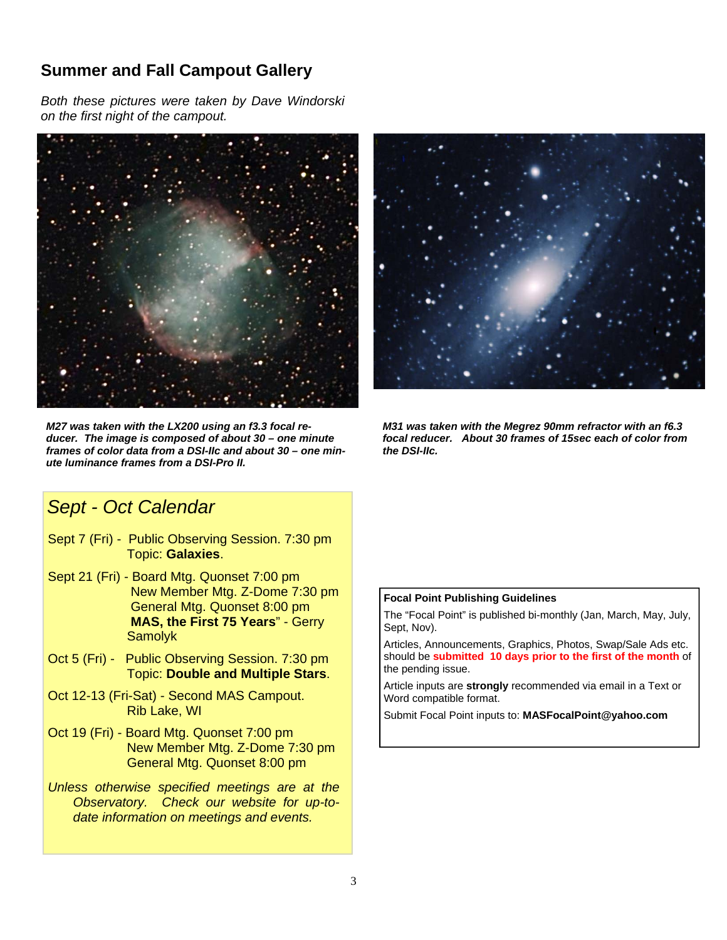# **Summer and Fall Campout Gallery**

*Both these pictures were taken by Dave Windorski on the first night of the campout.*



*M27 was taken with the LX200 using an f3.3 focal reducer. The image is composed of about 30 – one minute frames of color data from a DSI-IIc and about 30 – one minute luminance frames from a DSI-Pro II.* 



*M31 was taken with the Megrez 90mm refractor with an f6.3 focal reducer. About 30 frames of 15sec each of color from the DSI-IIc.* 

# *Sept - Oct Calendar*

- Sept 7 (Fri) Public Observing Session. 7:30 pm Topic: **Galaxies**.
- Sept 21 (Fri) Board Mtg. Quonset 7:00 pm New Member Mtg. Z-Dome 7:30 pm General Mtg. Quonset 8:00 pm **MAS, the First 75 Years**" - Gerry **Samolyk**
- Oct 5 (Fri) Public Observing Session. 7:30 pm Topic: **Double and Multiple Stars**.
- Oct 12-13 (Fri-Sat) Second MAS Campout. Rib Lake, WI
- Oct 19 (Fri) Board Mtg. Quonset 7:00 pm New Member Mtg. Z-Dome 7:30 pm General Mtg. Quonset 8:00 pm
- *Unless otherwise specified meetings are at the Observatory. Check our website for up-todate information on meetings and events.*

#### **Focal Point Publishing Guidelines**

The "Focal Point" is published bi-monthly (Jan, March, May, July, Sept, Nov).

Articles, Announcements, Graphics, Photos, Swap/Sale Ads etc. should be **submitted 10 days prior to the first of the month** of the pending issue.

Article inputs are **strongly** recommended via email in a Text or Word compatible format.

Submit Focal Point inputs to: **MASFocalPoint@yahoo.com**